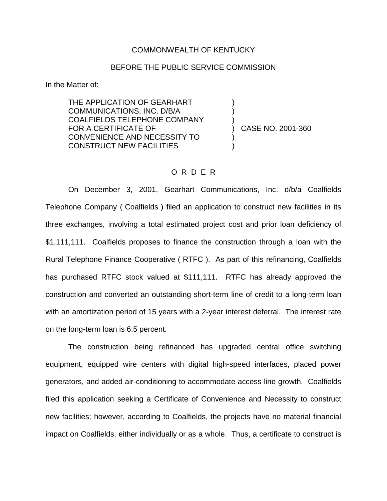## COMMONWEALTH OF KENTUCKY

## BEFORE THE PUBLIC SERVICE COMMISSION

) ) )

) )

In the Matter of:

THE APPLICATION OF GEARHART COMMUNICATIONS, INC. D/B/A COALFIELDS TELEPHONE COMPANY FOR A CERTIFICATE OF CONVENIENCE AND NECESSITY TO CONSTRUCT NEW FACILITIES

) CASE NO. 2001-360

## O R D E R

On December 3, 2001, Gearhart Communications, Inc. d/b/a Coalfields Telephone Company ( Coalfields ) filed an application to construct new facilities in its three exchanges, involving a total estimated project cost and prior loan deficiency of \$1,111,111. Coalfields proposes to finance the construction through a loan with the Rural Telephone Finance Cooperative ( RTFC ). As part of this refinancing, Coalfields has purchased RTFC stock valued at \$111,111. RTFC has already approved the construction and converted an outstanding short-term line of credit to a long-term loan with an amortization period of 15 years with a 2-year interest deferral. The interest rate on the long-term loan is 6.5 percent.

The construction being refinanced has upgraded central office switching equipment, equipped wire centers with digital high-speed interfaces, placed power generators, and added air-conditioning to accommodate access line growth. Coalfields filed this application seeking a Certificate of Convenience and Necessity to construct new facilities; however, according to Coalfields, the projects have no material financial impact on Coalfields, either individually or as a whole. Thus, a certificate to construct is